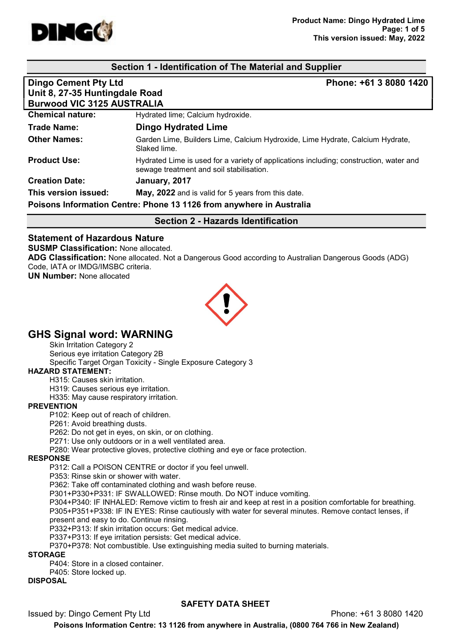

#### Section 1 - Identification of The Material and Supplier

| <b>Dingo Cement Pty Ltd</b><br>Unit 8, 27-35 Huntingdale Road<br><b>Burwood VIC 3125 AUSTRALIA</b> | Phone: +61 3 8080 1420                                                                                                             |  |
|----------------------------------------------------------------------------------------------------|------------------------------------------------------------------------------------------------------------------------------------|--|
| <b>Chemical nature:</b>                                                                            | Hydrated lime; Calcium hydroxide.                                                                                                  |  |
| <b>Trade Name:</b>                                                                                 | <b>Dingo Hydrated Lime</b>                                                                                                         |  |
| <b>Other Names:</b>                                                                                | Garden Lime, Builders Lime, Calcium Hydroxide, Lime Hydrate, Calcium Hydrate,<br>Slaked lime.                                      |  |
| <b>Product Use:</b>                                                                                | Hydrated Lime is used for a variety of applications including; construction, water and<br>sewage treatment and soil stabilisation. |  |
| <b>Creation Date:</b>                                                                              | January, 2017                                                                                                                      |  |
| This version issued:                                                                               | May, 2022 and is valid for 5 years from this date.                                                                                 |  |
| Poisons Information Centre: Phone 13 1126 from anywhere in Australia                               |                                                                                                                                    |  |

#### Section 2 - Hazards Identification

# Statement of Hazardous Nature

SUSMP Classification: None allocated.

ADG Classification: None allocated. Not a Dangerous Good according to Australian Dangerous Goods (ADG) Code, IATA or IMDG/IMSBC criteria.

UN Number: None allocated



# GHS Signal word: WARNING

Skin Irritation Category 2

Serious eye irritation Category 2B

Specific Target Organ Toxicity - Single Exposure Category 3

### HAZARD STATEMENT:

H315: Causes skin irritation.

H319: Causes serious eye irritation.

H335: May cause respiratory irritation.

#### **PREVENTION**

P102: Keep out of reach of children.

P261: Avoid breathing dusts.

P262: Do not get in eyes, on skin, or on clothing.

P271: Use only outdoors or in a well ventilated area.

P280: Wear protective gloves, protective clothing and eye or face protection.

#### RESPONSE

P312: Call a POISON CENTRE or doctor if you feel unwell.

P353: Rinse skin or shower with water.

P362: Take off contaminated clothing and wash before reuse.

P301+P330+P331: IF SWALLOWED: Rinse mouth. Do NOT induce vomiting.

P304+P340: IF INHALED: Remove victim to fresh air and keep at rest in a position comfortable for breathing. P305+P351+P338: IF IN EYES: Rinse cautiously with water for several minutes. Remove contact lenses, if present and easy to do. Continue rinsing.

P332+P313: If skin irritation occurs: Get medical advice.

P337+P313: If eye irritation persists: Get medical advice.

P370+P378: Not combustible. Use extinguishing media suited to burning materials.

#### STORAGE

P404: Store in a closed container.

P405: Store locked up.

# DISPOSAL

#### SAFETY DATA SHEET

Issued by: Dingo Cement Pty Ltd Phone: +61 3 8080 1420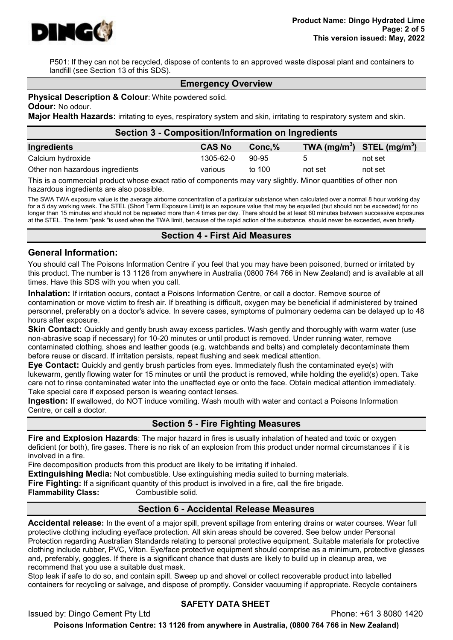

P501: If they can not be recycled, dispose of contents to an approved waste disposal plant and containers to landfill (see Section 13 of this SDS).

#### Emergency Overview

#### **Physical Description & Colour: White powdered solid.**

Odour: No odour.

Major Health Hazards: irritating to eyes, respiratory system and skin, irritating to respiratory system and skin.

| Section 3 - Composition/Information on Ingredients |               |           |              |                                |  |
|----------------------------------------------------|---------------|-----------|--------------|--------------------------------|--|
| Ingredients                                        | <b>CAS No</b> | $Conc.\%$ |              | TWA $(mg/m^3)$ STEL $(mg/m^3)$ |  |
| Calcium hydroxide                                  | 1305-62-0     | $90-95$   | $\mathbf{b}$ | not set                        |  |
| Other non hazardous ingredients                    | various       | to 100    | not set      | not set                        |  |

This is a commercial product whose exact ratio of components may vary slightly. Minor quantities of other non hazardous ingredients are also possible.

The SWA TWA exposure value is the average airborne concentration of a particular substance when calculated over a normal 8 hour working day for a 5 day working week. The STEL (Short Term Exposure Limit) is an exposure value that may be equalled (but should not be exceeded) for no longer than 15 minutes and should not be repeated more than 4 times per day. There should be at least 60 minutes between successive exposures at the STEL. The term "peak "is used when the TWA limit, because of the rapid action of the substance, should never be exceeded, even briefly.

#### Section 4 - First Aid Measures

#### General Information:

You should call The Poisons Information Centre if you feel that you may have been poisoned, burned or irritated by this product. The number is 13 1126 from anywhere in Australia (0800 764 766 in New Zealand) and is available at all times. Have this SDS with you when you call.

Inhalation: If irritation occurs, contact a Poisons Information Centre, or call a doctor. Remove source of contamination or move victim to fresh air. If breathing is difficult, oxygen may be beneficial if administered by trained personnel, preferably on a doctor's advice. In severe cases, symptoms of pulmonary oedema can be delayed up to 48 hours after exposure.

**Skin Contact:** Quickly and gently brush away excess particles. Wash gently and thoroughly with warm water (use non-abrasive soap if necessary) for 10-20 minutes or until product is removed. Under running water, remove contaminated clothing, shoes and leather goods (e.g. watchbands and belts) and completely decontaminate them before reuse or discard. If irritation persists, repeat flushing and seek medical attention.

Eye Contact: Quickly and gently brush particles from eyes. Immediately flush the contaminated eye(s) with lukewarm, gently flowing water for 15 minutes or until the product is removed, while holding the eyelid(s) open. Take care not to rinse contaminated water into the unaffected eye or onto the face. Obtain medical attention immediately. Take special care if exposed person is wearing contact lenses.

**Ingestion:** If swallowed, do NOT induce vomiting. Wash mouth with water and contact a Poisons Information Centre, or call a doctor.

# Section 5 - Fire Fighting Measures

Fire and Explosion Hazards: The major hazard in fires is usually inhalation of heated and toxic or oxygen deficient (or both), fire gases. There is no risk of an explosion from this product under normal circumstances if it is involved in a fire.

Fire decomposition products from this product are likely to be irritating if inhaled.

Extinguishing Media: Not combustible. Use extinguishing media suited to burning materials.

Fire Fighting: If a significant quantity of this product is involved in a fire, call the fire brigade.

Flammability Class: Combustible solid.

# Section 6 - Accidental Release Measures

Accidental release: In the event of a major spill, prevent spillage from entering drains or water courses. Wear full protective clothing including eye/face protection. All skin areas should be covered. See below under Personal Protection regarding Australian Standards relating to personal protective equipment. Suitable materials for protective clothing include rubber, PVC, Viton. Eye/face protective equipment should comprise as a minimum, protective glasses and, preferably, goggles. If there is a significant chance that dusts are likely to build up in cleanup area, we recommend that you use a suitable dust mask.

Stop leak if safe to do so, and contain spill. Sweep up and shovel or collect recoverable product into labelled containers for recycling or salvage, and dispose of promptly. Consider vacuuming if appropriate. Recycle containers

#### SAFETY DATA SHEET

Issued by: Dingo Cement Pty Ltd Phone: +61 3 8080 1420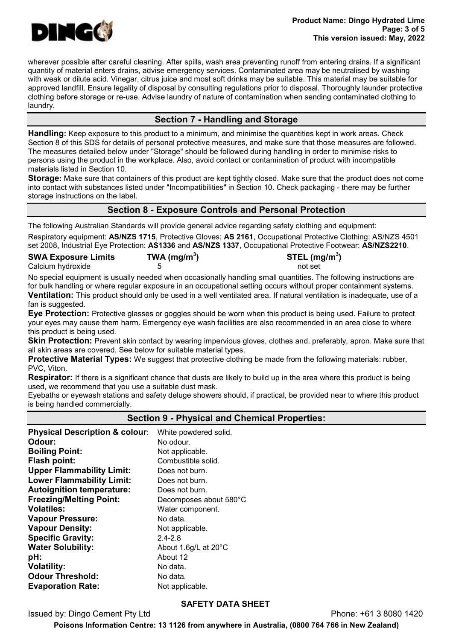

wherever possible after careful cleaning. After spills, wash area preventing runoff from entering drains. If a significant quantity of material enters drains, advise emergency services. Contaminated area may be neutralised by washing with weak or dilute acid. Vinegar, citrus juice and most soft drinks may be suitable. This material may be suitable for approved landfill. Ensure legality of disposal by consulting regulations prior to disposal. Thoroughly launder protective clothing before storage or re-use. Advise laundry of nature of contamination when sending contaminated clothing to laundry.

# Section 7 - Handling and Storage

Handling: Keep exposure to this product to a minimum, and minimise the quantities kept in work areas. Check Section 8 of this SDS for details of personal protective measures, and make sure that those measures are followed. The measures detailed below under "Storage" should be followed during handling in order to minimise risks to persons using the product in the workplace. Also, avoid contact or contamination of product with incompatible materials listed in Section 10.

Storage: Make sure that containers of this product are kept tightly closed. Make sure that the product does not come into contact with substances listed under "Incompatibilities" in Section 10. Check packaging - there may be further storage instructions on the label.

# Section 8 - Exposure Controls and Personal Protection

The following Australian Standards will provide general advice regarding safety clothing and equipment: Respiratory equipment: AS/NZS 1715, Protective Gloves: AS 2161, Occupational Protective Clothing: AS/NZS 4501 set 2008, Industrial Eye Protection: AS1336 and AS/NZS 1337, Occupational Protective Footwear: AS/NZS2210.

| <b>SWA Exposure Limits</b> | TWA ( $mg/m3$ ) | STEL (mg/m <sup>3</sup> ) |
|----------------------------|-----------------|---------------------------|
| Calcium hydroxide          |                 | not set                   |

No special equipment is usually needed when occasionally handling small quantities. The following instructions are for bulk handling or where regular exposure in an occupational setting occurs without proper containment systems. Ventilation: This product should only be used in a well ventilated area. If natural ventilation is inadequate, use of a

#### fan is suggested.

**Eye Protection:** Protective glasses or goggles should be worn when this product is being used. Failure to protect your eyes may cause them harm. Emergency eye wash facilities are also recommended in an area close to where this product is being used.

Skin Protection: Prevent skin contact by wearing impervious gloves, clothes and, preferably, apron. Make sure that all skin areas are covered. See below for suitable material types.

Protective Material Types: We suggest that protective clothing be made from the following materials: rubber, PVC, Viton.

Respirator: If there is a significant chance that dusts are likely to build up in the area where this product is being used, we recommend that you use a suitable dust mask.

Eyebaths or eyewash stations and safety deluge showers should, if practical, be provided near to where this product is being handled commercially.

#### Section 9 - Physical and Chemical Properties:

Physical Description & colour: White powdered solid. Odour: No odour. **Boiling Point:** Not applicable. Flash point: Combustible solid. Upper Flammability Limit: Does not burn. Lower Flammability Limit: Does not burn. Autoignition temperature: Does not burn. Freezing/Melting Point: Decomposes about 580°C Volatiles: Water component. Vapour Pressure: No data. Vapour Density: Not applicable. Specific Gravity: 2.4-2.8 Water Solubility: About 1.6g/L at 20°C **pH:** About 12 **Volatility:** No data. **Odour Threshold:** No data. **Evaporation Rate:** Not applicable.

#### SAFETY DATA SHEET

Issued by: Dingo Cement Pty Ltd **Phone: +61 3 8080 1420**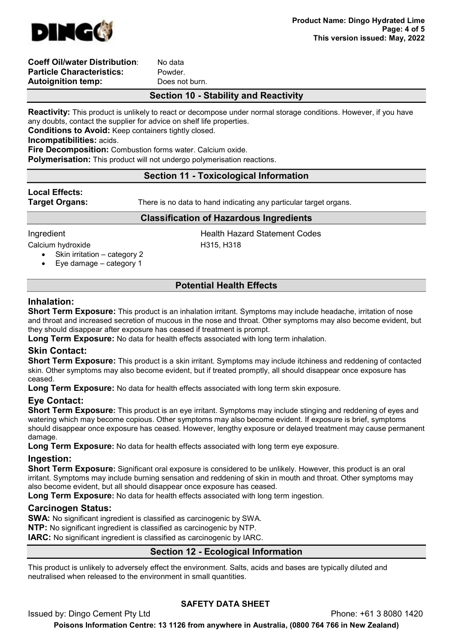

#### Coeff Oil/water Distribution: No data Particle Characteristics: Powder. Autoianition temp: Does not burn.

# Section 10 - Stability and Reactivity

Reactivity: This product is unlikely to react or decompose under normal storage conditions. However, if you have any doubts, contact the supplier for advice on shelf life properties.

Conditions to Avoid: Keep containers tightly closed.

Incompatibilities: acids.

Fire Decomposition: Combustion forms water. Calcium oxide.

Polymerisation: This product will not undergo polymerisation reactions.

# Section 11 - Toxicological Information

# Local Effects:

**Target Organs:** There is no data to hand indicating any particular target organs.

#### Classification of Hazardous Ingredients

**Ingredient Lack Codes Health Hazard Statement Codes** 

Calcium hydroxide H315, H318

- Skin irritation category 2
- Eye damage category 1

# Potential Health Effects

## Inhalation:

Short Term Exposure: This product is an inhalation irritant. Symptoms may include headache, irritation of nose and throat and increased secretion of mucous in the nose and throat. Other symptoms may also become evident, but they should disappear after exposure has ceased if treatment is prompt.

**Long Term Exposure:** No data for health effects associated with long term inhalation.

# Skin Contact:

Short Term Exposure: This product is a skin irritant. Symptoms may include itchiness and reddening of contacted skin. Other symptoms may also become evident, but if treated promptly, all should disappear once exposure has ceased.

Long Term Exposure: No data for health effects associated with long term skin exposure.

# Eye Contact:

**Short Term Exposure:** This product is an eye irritant. Symptoms may include stinging and reddening of eyes and watering which may become copious. Other symptoms may also become evident. If exposure is brief, symptoms should disappear once exposure has ceased. However, lengthy exposure or delayed treatment may cause permanent damage.

Long Term Exposure: No data for health effects associated with long term eye exposure.

#### Ingestion:

**Short Term Exposure:** Significant oral exposure is considered to be unlikely. However, this product is an oral irritant. Symptoms may include burning sensation and reddening of skin in mouth and throat. Other symptoms may also become evident, but all should disappear once exposure has ceased.

Long Term Exposure: No data for health effects associated with long term ingestion.

# Carcinogen Status:

SWA: No significant ingredient is classified as carcinogenic by SWA.

NTP: No significant ingredient is classified as carcinogenic by NTP.

IARC: No significant ingredient is classified as carcinogenic by IARC.

# Section 12 - Ecological Information

This product is unlikely to adversely effect the environment. Salts, acids and bases are typically diluted and neutralised when released to the environment in small quantities.

# SAFETY DATA SHEET

Issued by: Dingo Cement Pty Ltd Phone: +61 3 8080 1420